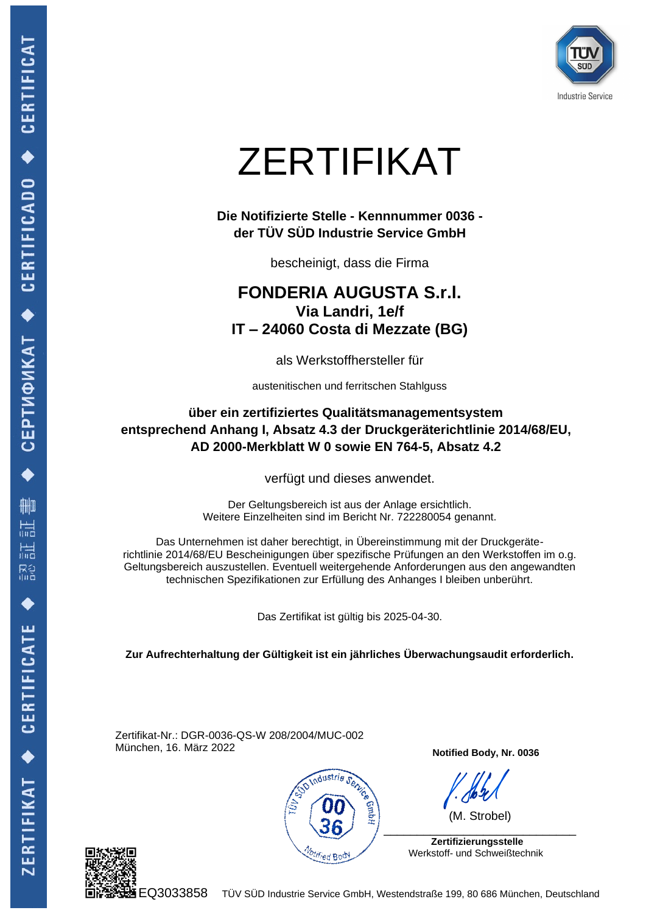

## ZERTIFIKAT

**Die Notifizierte Stelle - Kennnummer 0036 der TÜV SÜD Industrie Service GmbH**

bescheinigt, dass die Firma

## **FONDERIA AUGUSTA S.r.l. Via Landri, 1e/f IT – 24060 Costa di Mezzate (BG)**

als Werkstoffhersteller für

austenitischen und ferritschen Stahlguss

**über ein zertifiziertes Qualitätsmanagementsystem entsprechend Anhang I, Absatz 4.3 der Druckgeräterichtlinie 2014/68/EU, AD 2000-Merkblatt W 0 sowie EN 764-5, Absatz 4.2**

verfügt und dieses anwendet.

Der Geltungsbereich ist aus der Anlage ersichtlich. Weitere Einzelheiten sind im Bericht Nr. 722280054 genannt.

Das Unternehmen ist daher berechtigt, in Übereinstimmung mit der Druckgeräterichtlinie 2014/68/EU Bescheinigungen über spezifische Prüfungen an den Werkstoffen im o.g. Geltungsbereich auszustellen. Eventuell weitergehende Anforderungen aus den angewandten technischen Spezifikationen zur Erfüllung des Anhanges I bleiben unberührt.

Das Zertifikat ist gültig bis 2025-04-30.

**Zur Aufrechterhaltung der Gültigkeit ist ein jährliches Überwachungsaudit erforderlich.**

Zertifikat-Nr.: DGR-0036-QS-W 208/2004/MUC-002 München, 16. März 2022



**Notified Body, Nr. 0036**

(M. Strobel)

 **Zertifizierungsstelle** Werkstoff- und Schweißtechnik